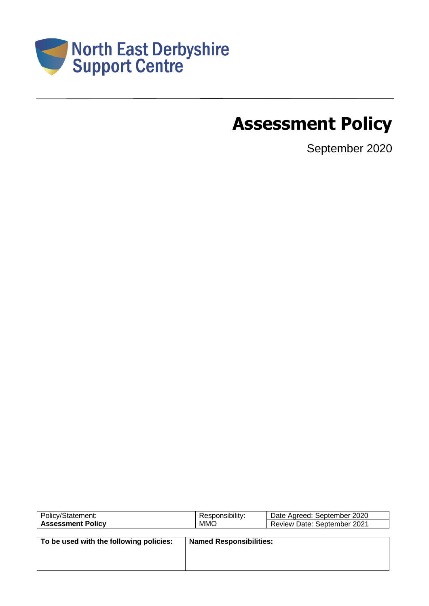

# **Assessment Policy**

September 2020

| Policy/Statement:                       | Responsibility:                | Date Agreed: September 2020 |
|-----------------------------------------|--------------------------------|-----------------------------|
| <b>Assessment Policy</b>                | <b>MMO</b>                     | Review Date: September 2021 |
|                                         |                                |                             |
| To be used with the following policies: | <b>Named Responsibilities:</b> |                             |
|                                         |                                |                             |
|                                         |                                |                             |
|                                         |                                |                             |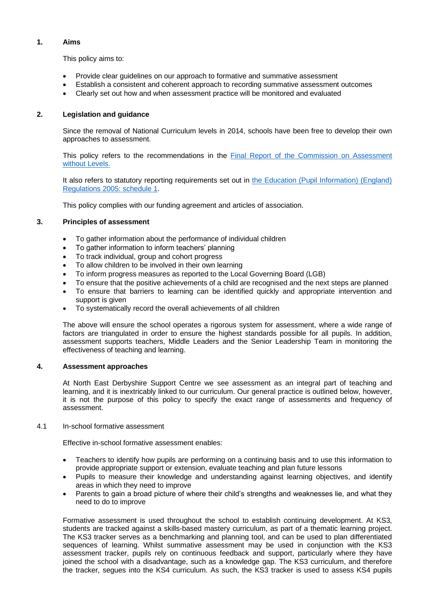## **1. Aims**

This policy aims to:

- Provide clear guidelines on our approach to formative and summative assessment
- Establish a consistent and coherent approach to recording summative assessment outcomes
- Clearly set out how and when assessment practice will be monitored and evaluated

# **2. Legislation and guidance**

Since the removal of National Curriculum levels in 2014, schools have been free to develop their own approaches to assessment.

This policy refers to the recommendations in the [Final Report of the Commission on Assessment](https://www.gov.uk/government/uploads/system/uploads/attachment_data/file/483058/Commission_on_Assessment_Without_Levels_-_report.pdf)  [without Levels.](https://www.gov.uk/government/uploads/system/uploads/attachment_data/file/483058/Commission_on_Assessment_Without_Levels_-_report.pdf)

It also refers to statutory reporting requirements set out in [the Education \(Pupil Information\) \(England\)](http://www.legislation.gov.uk/uksi/2005/1437/schedule/1/made)  [Regulations 2005: schedule 1.](http://www.legislation.gov.uk/uksi/2005/1437/schedule/1/made)

This policy complies with our funding agreement and articles of association.

## **3. Principles of assessment**

- To gather information about the performance of individual children
- To gather information to inform teachers' planning
- To track individual, group and cohort progress
- To allow children to be involved in their own learning
- To inform progress measures as reported to the Local Governing Board (LGB)
- To ensure that the positive achievements of a child are recognised and the next steps are planned
- To ensure that barriers to learning can be identified quickly and appropriate intervention and support is given
- To systematically record the overall achievements of all children

The above will ensure the school operates a rigorous system for assessment, where a wide range of factors are triangulated in order to ensure the highest standards possible for all pupils. In addition, assessment supports teachers, Middle Leaders and the Senior Leadership Team in monitoring the effectiveness of teaching and learning.

# **4. Assessment approaches**

At North East Derbyshire Support Centre we see assessment as an integral part of teaching and learning, and it is inextricably linked to our curriculum. Our general practice is outlined below, however, it is not the purpose of this policy to specify the exact range of assessments and frequency of assessment.

## 4.1 In-school formative assessment

Effective in-school formative assessment enables:

- Teachers to identify how pupils are performing on a continuing basis and to use this information to provide appropriate support or extension, evaluate teaching and plan future lessons
- Pupils to measure their knowledge and understanding against learning objectives, and identify areas in which they need to improve
- Parents to gain a broad picture of where their child's strengths and weaknesses lie, and what they need to do to improve

Formative assessment is used throughout the school to establish continuing development. At KS3, students are tracked against a skills-based mastery curriculum, as part of a thematic learning project. The KS3 tracker serves as a benchmarking and planning tool, and can be used to plan differentiated sequences of learning. Whilst summative assessment may be used in conjunction with the KS3 assessment tracker, pupils rely on continuous feedback and support, particularly where they have joined the school with a disadvantage, such as a knowledge gap. The KS3 curriculum, and therefore the tracker, segues into the KS4 curriculum. As such, the KS3 tracker is used to assess KS4 pupils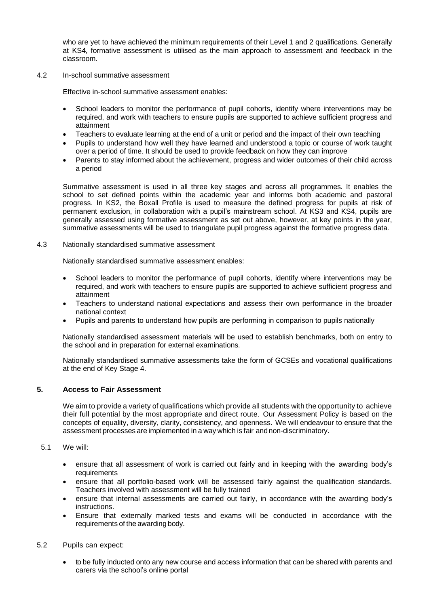who are yet to have achieved the minimum requirements of their Level 1 and 2 qualifications. Generally at KS4, formative assessment is utilised as the main approach to assessment and feedback in the classroom.

4.2 In-school summative assessment

Effective in-school summative assessment enables:

- School leaders to monitor the performance of pupil cohorts, identify where interventions may be required, and work with teachers to ensure pupils are supported to achieve sufficient progress and attainment
- Teachers to evaluate learning at the end of a unit or period and the impact of their own teaching
- Pupils to understand how well they have learned and understood a topic or course of work taught over a period of time. It should be used to provide feedback on how they can improve
- Parents to stay informed about the achievement, progress and wider outcomes of their child across a period

Summative assessment is used in all three key stages and across all programmes. It enables the school to set defined points within the academic year and informs both academic and pastoral progress. In KS2, the Boxall Profile is used to measure the defined progress for pupils at risk of permanent exclusion, in collaboration with a pupil's mainstream school. At KS3 and KS4, pupils are generally assessed using formative assessment as set out above, however, at key points in the year, summative assessments will be used to triangulate pupil progress against the formative progress data.

4.3 Nationally standardised summative assessment

Nationally standardised summative assessment enables:

- School leaders to monitor the performance of pupil cohorts, identify where interventions may be required, and work with teachers to ensure pupils are supported to achieve sufficient progress and attainment
- Teachers to understand national expectations and assess their own performance in the broader national context
- Pupils and parents to understand how pupils are performing in comparison to pupils nationally

Nationally standardised assessment materials will be used to establish benchmarks, both on entry to the school and in preparation for external examinations.

Nationally standardised summative assessments take the form of GCSEs and vocational qualifications at the end of Key Stage 4.

## **5. Access to Fair Assessment**

We aim to provide a variety of qualifications which provide all students with the opportunity to achieve their full potential by the most appropriate and direct route. Our Assessment Policy is based on the concepts of equality, diversity, clarity, consistency, and openness. We will endeavour to ensure that the assessment processes are implemented in a way which is fair andnon-discriminatory.

#### 5.1 We will:

- ensure that all assessment of work is carried out fairly and in keeping with the awarding body's requirements
- ensure that all portfolio-based work will be assessed fairly against the qualification standards. Teachers involved with assessment will be fully trained
- ensure that internal assessments are carried out fairly, in accordance with the awarding body's instructions.
- Ensure that externally marked tests and exams will be conducted in accordance with the requirements of the awarding body.

#### 5.2 Pupils can expect:

• to be fully inducted onto any new course and access information that can be shared with parents and carers via the school's online portal